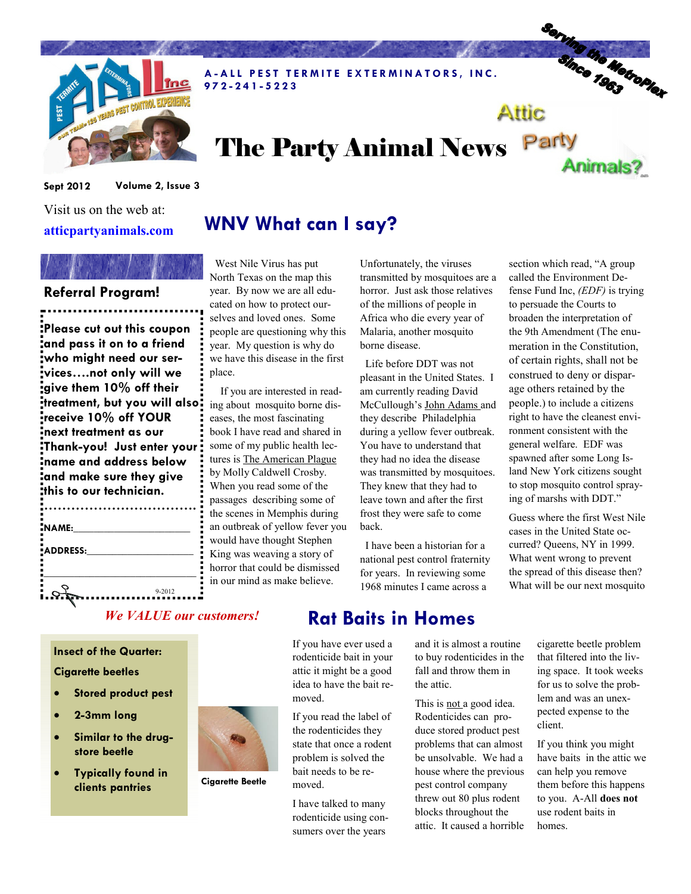

A-ALL PEST TERMITE EXTERMINATORS, INC. 9 7 2 - 2 4 1 - 5 2 2 3

# Serving the Metropier Attic

Animals?

# The Party Animal News Party

Sept 2012 Volume 2, Issue 3

Visit us on the web at: atticpartyanimals.com

# WNV What can I say?

### Referral Program!

Please cut out this coupon and pass it on to a friend who might need our services….not only will we give them 10% off their treatment, but you will also receive 10% off YOUR next treatment as our Thank-you! Just enter your name and address below and make sure they give this to our technician.

| Ξ<br>NAME: |        |
|------------|--------|
| ADDRESS:   |        |
|            |        |
|            | 9-2012 |
|            |        |

 West Nile Virus has put North Texas on the map this year. By now we are all educated on how to protect ourselves and loved ones. Some people are questioning why this year. My question is why do we have this disease in the first place.

 If you are interested in reading about mosquito borne diseases, the most fascinating book I have read and shared in some of my public health lectures is The American Plague by Molly Caldwell Crosby. When you read some of the passages describing some of the scenes in Memphis during an outbreak of yellow fever you would have thought Stephen King was weaving a story of horror that could be dismissed in our mind as make believe.

Unfortunately, the viruses transmitted by mosquitoes are a horror. Just ask those relatives of the millions of people in Africa who die every year of Malaria, another mosquito borne disease.

 Life before DDT was not pleasant in the United States. I am currently reading David McCullough's John Adams and they describe Philadelphia during a yellow fever outbreak. You have to understand that they had no idea the disease was transmitted by mosquitoes. They knew that they had to leave town and after the first frost they were safe to come back.

 I have been a historian for a national pest control fraternity for years. In reviewing some 1968 minutes I came across a

section which read, "A group called the Environment Defense Fund Inc, (EDF) is trying to persuade the Courts to broaden the interpretation of the 9th Amendment (The enumeration in the Constitution, of certain rights, shall not be construed to deny or disparage others retained by the people.) to include a citizens right to have the cleanest environment consistent with the general welfare. EDF was spawned after some Long Island New York citizens sought to stop mosquito control spraying of marshs with DDT."

Guess where the first West Nile cases in the United State occurred? Queens, NY in 1999. What went wrong to prevent the spread of this disease then? What will be our next mosquito

#### We VALUE our customers!

Insect of the Quarter:

#### Cigarette beetles

- Stored product pest
- 2-3mm long
- Similar to the drugstore beetle
- **Typically found in** clients pantries



Cigarette Beetle

# Rat Baits in Homes

If you have ever used a rodenticide bait in your attic it might be a good idea to have the bait removed.

If you read the label of the rodenticides they state that once a rodent problem is solved the bait needs to be removed.

I have talked to many rodenticide using consumers over the years

and it is almost a routine to buy rodenticides in the fall and throw them in the attic.

This is not a good idea. Rodenticides can produce stored product pest problems that can almost be unsolvable. We had a house where the previous pest control company threw out 80 plus rodent blocks throughout the attic. It caused a horrible cigarette beetle problem that filtered into the living space. It took weeks for us to solve the problem and was an unexpected expense to the client.

If you think you might have baits in the attic we can help you remove them before this happens to you. A-All does not use rodent baits in homes.